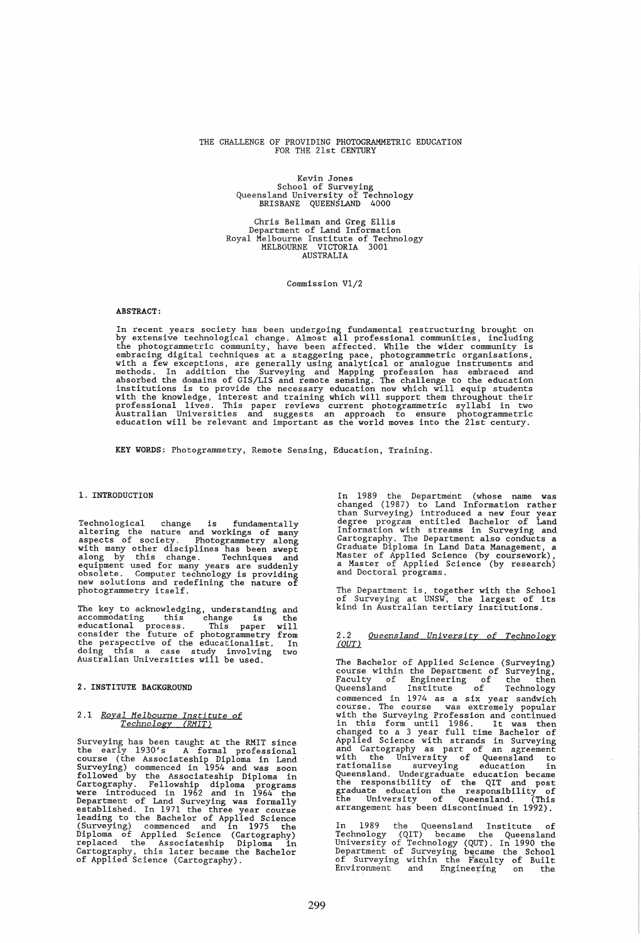#### THE CHALLENGE OF PROVIDING PHOTOGRAMMETRIC EDUCATION FOR THE 21st CENTURY

# Kevin Jones<br>School of Surveying<br>Queensland University of Technology<br>BRISBANE QUEENSLAND 4000

Chris Bellman and Greg Ellis Department of Land Information Royal Melbourne Institute of Technology MELBOURNE VICTORIA 3001 AUSTRALIA

Commission Vl/2

#### ABSTRACT:

In recent years society has been undergoing fundamental restructuring brought on<br>by extensive technological change. Almost all professional communities, including<br>the photogrammetric community, have been affected. While th

KEY WORDS: Photogrammetry, Remote Sensing. Education, Training.

#### 1. INTRODUCTION

Technological change is fundamentally<br>altering the nature and workings of many<br>aspects of society. Photogrammetry along<br>with many other disciplines has been swept<br>along by this change. Techniques and<br>equipment used for man

The key to acknowledging, understanding and<br>accommodating this change is the<br>educational process. This paper will<br>consider the future of photogrammetry from<br>the perspective of the educationalist. In<br>doing this a case study

#### 2. INSTITUTE BACKGROUND

# *2.1 Royal Melbourne Institute of Technology (RMIT)*

Surveying has been taught at the RMIT since<br>the early 1930's A formal professional<br>course (the Associateship Diploma in Land Surveying) commenced in 1954 and was soon followed by the Associateship Diploma in Cartography. Fellowship diploma programs<br>were introduced in 1962 and in 1964 the<br>Department of Land Surveying was formally<br>established. In 1971 the three year course<br>leading to the Bachelor of Applied Science<br>(Surveying) c

In 1989 the Department (whose name was<br>changed (1987) to Land Information rather<br>than Surveying) introduced a new four year<br>degree program entitled Bachelor of Land<br>Information with streams in Surveying and<br>Cartography. Th

The Department is, together with the School of Surveying at UNSW, the largest of its kind in Australian tertiary institutions.

# 2.2 Queensland University of Technology<br>(QUT)

The Bachelor of Applied Science (Surveying) course within the Department of Surveying, Faculty of Engineering of the then Queensland Institute of Technology commenced in 1974 as a six year sandwich<br>course. The course was extremely popular<br>with the Surveying Profession and continued<br>in this form until 1986. It was then<br>changed to a 3 year full time Bachelor of<br>Applied Science w

In 1989 the Queensland Institute of<br>Technology (QIT) became the Queensland<br>University of Technology (QUT). In 1990 the<br>Department of Surveying became the School<br>Of Surveying within the Faculty of Built<br>Environment and Engi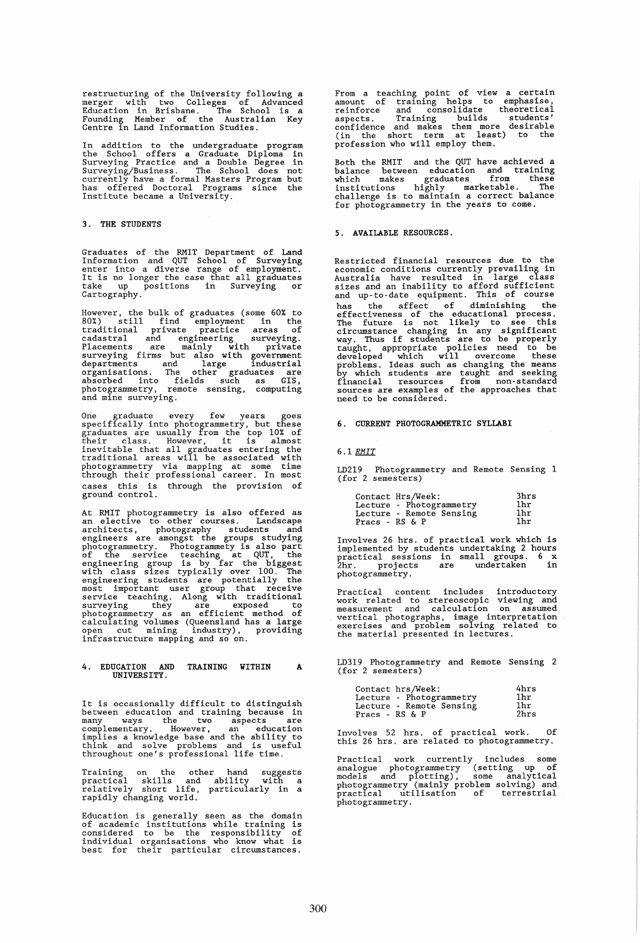restructuring of the University following a merger with two Colleges of Advanced Education in Brisbane. The School is a Founding Member of the Australian Key Centre in Land Information Studies.

In addition to the undergraduate program<br>the School offers a Graduate Diploma in<br>Surveying Practice and a Double Degree in<br>Surveying/Business. The School does not<br>currently have a formal Masters Program but<br>has offered Doc

### 3. THE STUDENTS

Graduates of the RMIT Department of Land Information and QUT School of Surveying enter into a diverse range of employment. It is no longer the case that all graduates take up positions in Surveying or Cartography.

However, the bulk of graduates (some 60% to 80%) still find employment in the traditional private practice areas of cadastral and engineering surveying. Placements are mainly with private surveying firms but also with government departments and large industrial organisations. The other graduates are absorbed into fields such as GIS, photogrammetry, remote sensing, computing and mine surveying.

One graduate every few years goes<br>specifically into photogrammetry, but these<br>graduates are usually from the top 10% of<br>their class. However, it is almost<br>inevitable that all graduates entering the<br>traditional areas will b cases this is through the provision of ground control.

At RMIT photo gramme try is also offered as an elective to other courses. Landscape architects, photography students and engineers are amongst the groups studying encontractive. Photogrammetry. Photogrammetry is also part<br>of the service teaching at QUT, the<br>engineering group is by far the biggest<br>with class sizes typically over 100. The<br>engineering students are potentially the<br>most service teaching. Along with traditional<br>surveying they are exposed to<br>photogrammetry as an efficient method of<br>calculating volumes (Queensland has a large<br>open cut mining industry), providing<br>infrastructure mapping and so

#### 4. EDUCATION AND TRAINING WITHIN UNIVERSITY. A

It is occasionally difficult to distinguish<br>between education and training because in<br>many ways the two aspects are<br>complementary. However, an education<br>implies a knowledge base and the ability to<br>think and solve problems

Training on the other hand suggests practical skills and ability with a relatively short life, particularly in a rapidly changing world.

Education is generally seen as the domain of academic institutions while training is considered to be the responsibility of individual organisations who know what is best for their particular circumstances.

From a teaching point of view a certain<br>amount of training helps to emphasise,<br>reinforce and consolidate theoretical<br>aspects. Training builds students'<br>confidence and makes them more desirable<br>(in the short term at least) profession who will employ them.

Both the RMIT and the QUT have achieved a balance between education and training which makes graduates from these finitions highly marketable. The challenge is to maintain a correct balance for photogrammetry in the years

#### 5. AVAILABLE RESOURCES.

Restricted financial resources due to the economic conditions currently prevailing in Australia have resulted in large class sizes and an inability to afford sufficient and up-to-date equipment. This pf course has the affect of diminishing the<br>effectiveness of the educational process.<br>The future is not likely to see this<br>circumstance changing in any significant<br>way. Thus if students are to be properly<br>taught, appropriate policie problems. Ideas such as changing the means by which students are taught and seeking financial resources from non-standard sources are examples of the approaches that need to be considered.

#### 6. CURRENT PHOTOGRAMMETRIC SYLLABI

#### *6.1 RMIT*

LD219 Photogrammetry and Remote Sensing 1 (for 2 semesters)

| Contact Hrs/Week: |                          | 3hrs            |
|-------------------|--------------------------|-----------------|
|                   | Lecture - Photogrammetry | 1hr             |
|                   | Lecture - Remote Sensing | 1 <sub>hr</sub> |
| Pracs - $RS & P$  |                          | 1hr             |

Involves 26 hrs. of practical work which is implemented by students undertaking 2 hours practical sessions in small groups. 6 x 2hr. projects are undertaken in photogrammetry.

Practical content includes introductory<br>work related to stereoscopic viewing and<br>measurement and calculation on assumed<br>vertical photographs, image interpretation<br>exercises and problem solving related to<br>the material prese

LD3l9 Photogrammetry and Remote Sensing 2 (for 2 semesters)

|                   | Contact hrs/Week:        | 4hrs            |
|-------------------|--------------------------|-----------------|
|                   | Lecture - Photogrammetry | 1hr             |
|                   | Lecture - Remote Sensing | 1 <sub>hr</sub> |
| Pracs - $RS \& P$ |                          | 2hrs            |

Involves 52 hrs. of practical work. Of this 26 hrs. are related to photogrammetry.

Practical work currently includes some<br>malogue photogrammetry (setting up of<br>models and plotting), some analytical<br>photogrammetry (mainly problem solving) and<br>practical utilisation of terrestrial photogrammetry.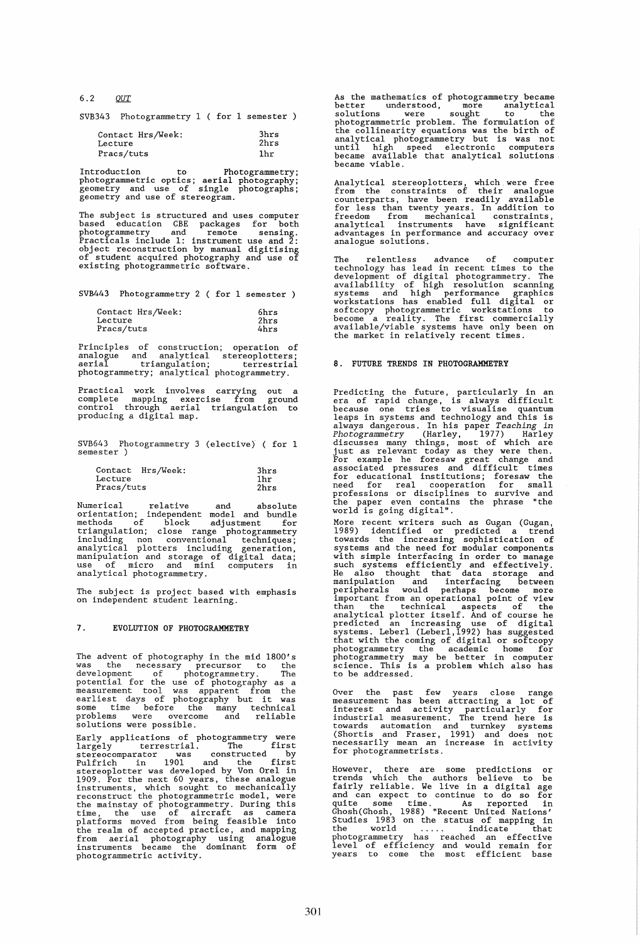*6.2* QJlI.

SVB343 Photogrammetry 1 ( for 1 semester )

| Contact Hrs/Week: | 3hrs            |
|-------------------|-----------------|
| Lecture           | 2hrs            |
| Pracs/tuts        | 1 <sub>hr</sub> |

Introduction to Photogrammetry; photogrammetric optics; aerial photography; geometry and use of single photographs; geometry and use of stereogram.

The subject is structured and uses computer<br>based education CBE packages for both<br>photogrammetry and remote sensing.<br>Practicals include 1: instrument use and 2:<br>object reconstruction by manual digitising<br>of student acquire existing photogrammetric software.

SVB443 Photogrammetry 2 ( for 1 semester )

| Contact Hrs/Week: | 6hrs |
|-------------------|------|
| Lecture           | 2hrs |
| Pracs/tuts        | 4hrs |

Principles of construction; operation of analogue and analytical stereoplotters; aerial triangulation; terrestrial photogrammetry; analytical photogrammetry.

Practical work involves carrying out a complete mapping exercise from ground control through aerial triangulation to producing a digital map.

SVB643 Photogrammetry 3 (elective) ( for 1 semester )

| Contact    | Hrs/Week: | 3hrs |
|------------|-----------|------|
| Lecture    |           | 1hr. |
| Pracs/tuts |           | 2hrs |

Numerical relative and absolute<br>orientation; independent model and bundle<br>methods of block adjustment for<br>triangulation; close range photogrammetry<br>including non conventional techniques;<br>analytical plotters including gener

The subject is project based with emphasis on independent student learning.

## 7. EVOLUTION OF PHOTOGRAMMETRY

The advent of photography in the mid 1800's was the necessary precursor to the development of photogrammetry. The potential for the use of photography as a measurement tool was apparent from the earliest days of photography but it was some time before the many technical problems were overcome and reliable solutions were possible.

Early applications of photogrammetry were<br>largely terrestrial. The first<br>stereocomparator was constructed by<br>Pulfrich in 1901 and the first<br>stereoplotter was developed by Von Orel in<br>1909. For the next 60 years, these anal time, the use of aircraft as camera<br>platforms moved from being feasible into<br>the realm of accepted practice, and mapping<br>from aerial photography using analogue<br>instruments became the dominant form of<br>photogrammetric activi

As the mathematics of photogrammetry became<br>better understood, more analytical better understood, more analytical<br>solutions were sought to the<br>photogrammetric probable to the collinearity equations was the birth of<br>the collinearity equations was the birth of<br>analytical photogrammetry but is was not<br>u

Analytical stereoplotters, which were free<br>from the constraints of their analogue<br>counterparts, have been readily available<br>for less than twenty pears. In addition to<br>freedom from mechanical constraints,<br>analytical instrum

The relentless advance of computer<br>technology has lead in recent times to the<br>development of digital photogrammetry. The<br>availability of high resolution scanning<br>systems and high performance graphics<br>workstations has enabl become a reality. The first commercially available/viable systems have only been on the market in relatively recent times.

#### 8. FUTURE TRENDS IN PHOTOGRAMMETRY

Predicting the future, particularly in an<br>era of rapid change, is always difficult<br>because one tries to visualise quantum<br>leaps in systems and technology and this is<br>always dangerous. In his paper *Teaching in*<br>Photogramme

More recent writers such as Gugan (Gugan, 1989) identified or predicted a trend towards the increasing sophistication of systems and the need for modular components with simple interfacing in order to manage such systems e

Over the past few years close range<br>measurement has been attracting a lot of<br>interest and activity particularly for<br>industrial measurement. The trend here is<br>towards automation and turnkey systems<br>(Shortis and Fraser, 1991

However, there are some predictions or<br>trends which the authors believe to be<br>fairly reliable. We live in a digital age<br>and can expect to continue to do so for<br>quite some time. As reported in<br>Ghosh(Ghosh, 1988) "Recent Uni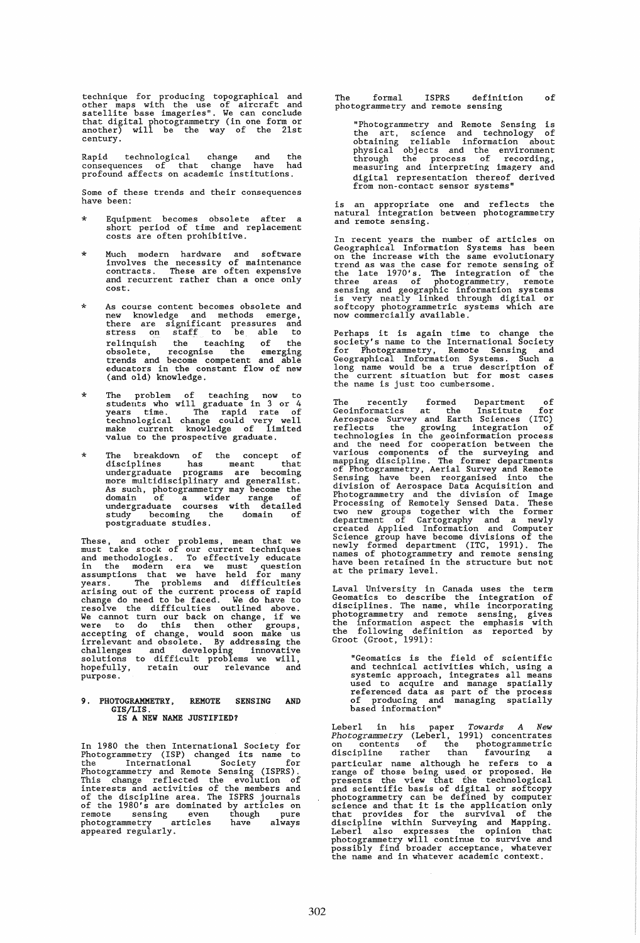technique for producing topographical and other maps with the use of aircraft and satellite base imageries". We can conclude that digital photogrammetry (in one form or another) will be the way of the 21st century.

Rapid technological change and the consequences of that change have had profound affects on academic institutions.

Some of these trends and their consequences have been:

- \* Equipment becomes obsolete after a short period of time and replacement costs are often prohibitive.
- \* Much modern hardware and software involves the necessity of maintenance contracts. These are often expensive and recurrent rather than a once only cost.
- \* As course content becomes obsolete and new knowledge and methods emerge. there are significant pressures and stress on staff to be able to relinquish the teaching of the obsolete, recognise the emerging trends and become competent and able educators in the constant flow of new (and old) knowledge.
- \* The problem of teaching now to students who will graduate in 3 or 4 years time. The rapid rate of technological change could very well make current knowledge of limited value to the prospective graduate.
- \* The breakdown of the concept of disciplines has meant that undergraduate programs are becoming<br>more multidisciplinary and generalist.<br>As such, photogrammetry may become the<br>domain of a wider range of<br>undergraduate courses with detailed<br>study becoming the domain of<br>postgraduate stu

These, and other problems, mean that we<br>must take stock of our current techniques<br>and methodologies. To effectively educate<br>in the modern era we must question<br>assumptions that we have held for many<br>years. The problems and accepting of change, would soon make us irrelevant and obsolete. By addressing the challenges and developing innovative solutions to difficult problems we will, hopefully, retain our relevance and purpose.

## 9. PHOTOGRAMMETRY. REMOTE SENSING AND GIS/LIS. IS A NEW NAME JUSTIFIED?

In 1980 the then International Society for In 1990 cm chain incrementry (ISP) changed its name to<br>the International Society for<br>Photogrammetry and Remote Sensing (ISPRS).<br>This change reflected the evolution of<br>interests and activities of the members and<br>of the disc photo gramme try articles have always appeared regularly.

The formal ISPRS definition of<br>photogrammetry and remote sensing

"Photogrammetry and Remote Sensing is<br>the art, science and technology of<br>obtaining reliable information about<br>physical objects and the environment<br>through the process of recording,<br>measuring and interpreting imagery and digital representation thereof derived from non-contact sensor systems"

is an appropriate one and reflects the<br>natural integration between photogrammetry and remote sensing.

In recent years the number of articles on Geographical Information Systems has been<br>on the increase with the same evolutionary<br>trend as was the case for remote sensing of<br>the late 1970's. The integration of the<br>three areas

Perhaps it is again time to change the society's name to the International Society for Photogrammetry. Remote Sensing and Geographical Information Systems. Such a long name would be a true description of the current situation but for most cases<br>the name is just too cumbersome.

The recently formed Department of<br>Geoinformatics at the Institute for<br>Aerospace Survey and Earth Sciences (ITC)<br>reflects the growing integration of<br>technologies in the geoinformation process<br>and the need for cooperation be newly formed department (ITC. 1991). The names of photogrammetry and remote sensing have been retained in the structure but not at the primary level.

Laval University in Canada uses the term<br>Geomatics to describe the integration of<br>disciplines. The name, while incorporating<br>photogrammetry and remote sensing, gives<br>the information aspect the emphasis with<br>the following d

"Geomatics is the field of scientific<br>and technical activities which, using a<br>systemic approach, integrates all means<br>used to acquire and manage spatially<br>referenced data as part of the process<br>of producing and managing sp

Leberl in his paper *Towards A New Photogrammetry* (Leberl, 1991) concentrates on contents of the photogrammetric discipline rather than favouring a particular name although he refers to a<br>range of those being used or proposed. He<br>presents the view that the technological<br>and scientific basis of digital or softcopy<br>photogrammetry can be defined by computer<br>science and t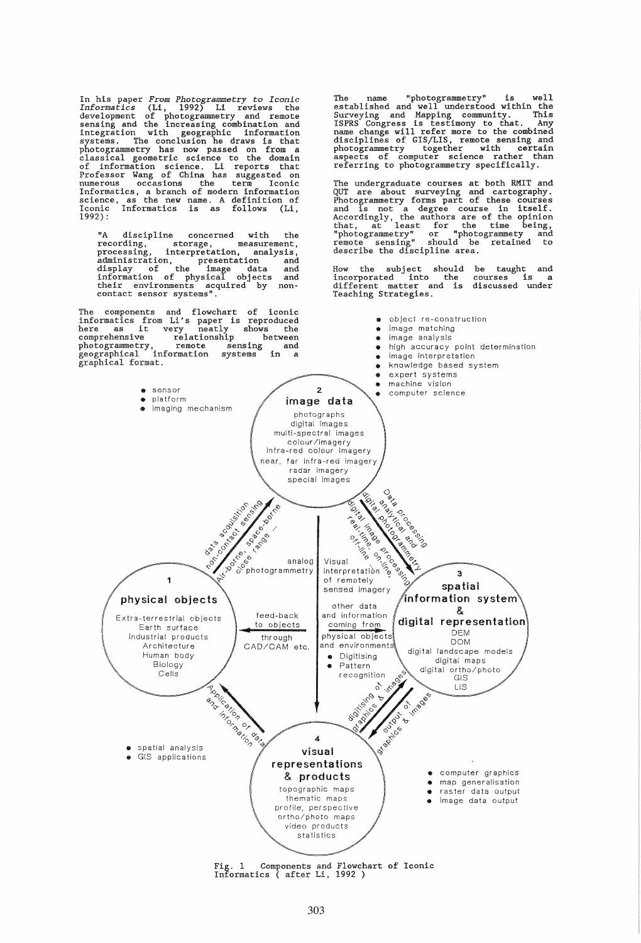In his paper From Photogrammetry to Iconic<br>Informatics (Li, 1992) Li reviews the<br>development of photogrammetry and remote<br>sensing and the increasing combination and<br>integration with geographic information<br>systems. The conc

"A discipline concerned with the<br>recording, storage, measurement,<br>processing, interpretation, analysis, recording, storage, measurement, processing, interpretation, analysis, administration, presentation and display of the image data and information of physical objects and their environments acquired by non- contact sensor systems".

The components and flowchart of iconic<br>
informatics from Li's paper is reproduced<br>
here as it very neatly shows the<br>
comprehensive relationship between<br>
photogrammetry, remote sensing and comprehensive relationship between<br>photogrammetry, remote sensing a<br>geographical information systems in<br>graphical format.

The name "photogrammetry" is well<br>established and well understood within the<br>Surveying and Mapping community. This<br>ISPRS Congress is testimony to that. Any<br>name change will refer more to the combined<br>disciplines of GIS/LIS

The undergraduate courses at both RMIT and<br>QUT are about surveying and cartography.<br>Photogrammetry forms part of these courses<br>and is not a degree course in itself.<br>Accordingly, the authors are of the opinion<br>that, at leas

How the subject should incorporated into the different matter and is Teaching Strategies. be taught and courses is a discussed under

 $\bullet$  object re-construction



Fig. 1 Components and Flowchart of Iconic Informatics ( after Li, 1992 )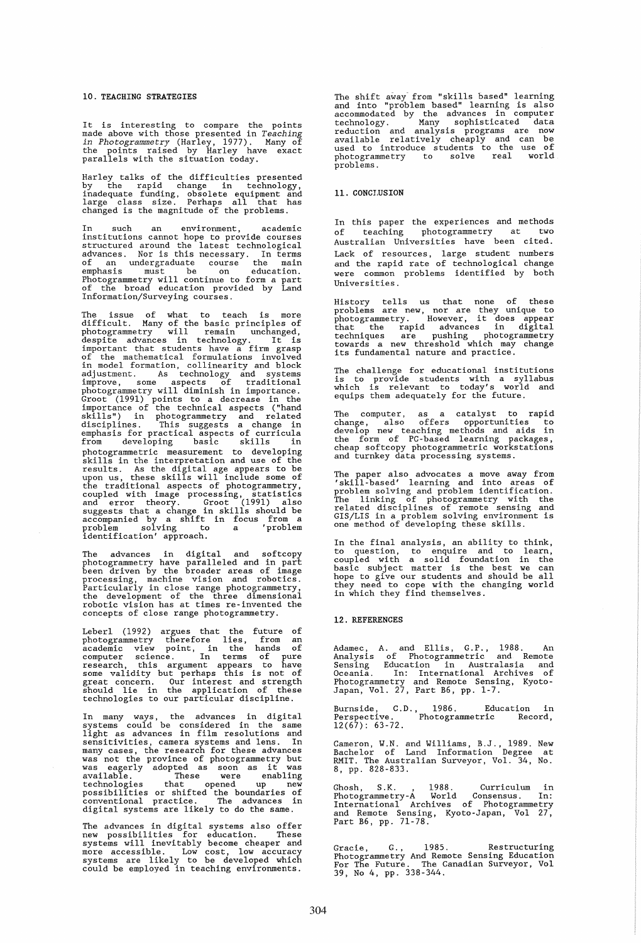#### 10. TEACHING STRATEGIES

It is interesting to compare the points made above with those presented in *Teaching in Photogrammetry* (Harley, 1977). Many of the points raised by Harley have exact parallels with the situation today.

Harley talks of the difficulties presented<br>by the rapid change in technology,<br>inadequate funding, obsolete equipment and<br>large class size. Perhaps all that has<br>changed is the magnitude of the problems.

In such an environment, academic<br>institutions cannot hope to provide courses<br>structured around the latest technological<br>advances. Nor is this necessary. In terms<br>of an undergraduate course the main<br>emphasis must be on educ

The issue of what to teach is more<br>difficult. Many of the basic principles of<br>photogrammetry will remain unchanged,<br>despite advances in technology. It is<br>important that students have a firm grasp<br>of the mathematical formul photogrammetric measurement to developing<br>skills in the interpretation and use of the<br>results. As the digital age appears to be<br>upon us, these skills will include some of<br>the traditional aspects of photogrammetry,<br>coupled

The advances in digital and softcopy<br>photogrammetry have paralleled and in part<br>been driven by the broader areas of image<br>processing, machine vision and robotics.<br>Particularly in close range photogrammetry,<br>the development

Leberl (1992) argues that the future of<br>photogrammetry therefore lies, from an<br>academic view point, in the hands of<br>computer science. In terms of pure<br>research, this argument appears to have<br>some validity but perhaps this

In many ways, the advances in digital systems could be considered in the same light as advances in film resolutions and sensitivities, camera systems and lens. In many cases, the research for these advances<br>was not the province of photogrammetry but<br>was eagerly adopted as soon as it was<br>available. These were enabling technologies that opened up new possibilities or shifted the boundaries of conventional practice. The advances in digital systems are likely to do the same.

The advances in digital systems also offer<br>new possibilities for education. These systems will inevitably become cheaper and more accessible. Low cost, low accuracy systems are likely to be developed which could be employed in teaching environments. The shift away from "skills based" learning<br>and into "problem based" learning is also<br>accommodated by the advances in computer<br>technology. Many sophisticated data<br>reduction and analysis programs are now<br>available relativel photogrammetry<br>problems.

#### 11. CONCI,USION

In this paper the experiences and methods of teaching photogrammetry at two Australian Universities have been cited. Lack of resources, large student numbers and the rapid rate of technological change were common problems identified by both Universities.

History tells us that none of these<br>problems are new, nor are they unique to<br>photogrammetry. However, it does appear<br>that the rapid advances in digital<br>techniques are pushing photogrammetry<br>towards a new threshold which ma

The challenge for educational institutions is to provide students with a syllabus which is relevant to today's world and equips them adequately for the future.

The computer, as a catalyst to rapid<br>change, also offers opportunities to<br>develop new teaching methods and aids in<br>the form of FC-based learning packages,<br>cheap softcopy photogrammetric workstations<br>and turnkey data proces

The paper also advocates a move away from<br>'skill-based' learning and into areas of<br>problem solving and problem identification.<br>The linking of photogrammetry with the<br>related disciplines of remote sensing and<br>GIS/LIS in a p

In the final analysis, an ability to think,<br>to question, to enquire and to learn,<br>coupled with a solid foundation in the<br>basic subject matter is the best we can<br>hope to give our students and should be all<br>they need to cope

#### 12. REFERENCES

Adamec, A. and Ellis, G.P., 1988. An<br>Analysis of Photogrammetric and Remote<br>Sensing Education in Australasia and<br>Oceania. In: International Archives of<br>Photogrammetry and Remote Sensing, Kyoto-<br>Japan, Vol. 27, Part B6, pp.

Burnside, C.D., 1986. Education in Perspective. Photogrammetric Record, Burnside, C.I<br>Perspective.<br>12(67): 63-72.

Cameron, W.N. and Williams, B.J., 1989. New Bachelor of Land Information Degree at RMIT. The Australian Surveyor, Vol. 34, No. 8, pp. 828-833.

Ghosh, S.K. , 1988. Curriculum in Photogrammetry-A World Consensus. In: International Archives of Photogrammetry and Remote Sensing, Kyoto-Japan, Vol 27, Part B6, pp. 71-78.

Gracie, G., 1985. Restructuring<br>Photogrammetry And Remote Sensing Education<br>For The Future. The Canadian Surveyor, Vol<br>39, No 4, pp. 338-344.